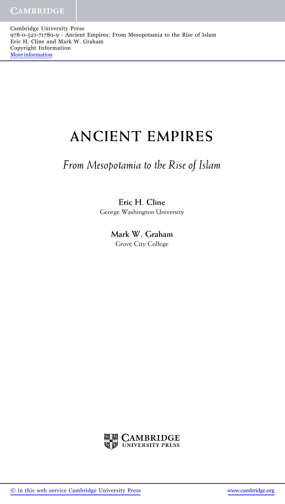Cambridge University Press 978-0-521-71780-9 - Ancient Empires: From Mesopotamia to the Rise of Islam Eric H. Cline and Mark W. Graham Copyright Information [More information](http://www.cambridge.org/9780521717809)

## **ANCIENT EMPIRES**

## *From Mesopotamia to the Rise of Islam*

## **Eric H. Cline** George Washington University

**Mark W. Graham** Grove City College